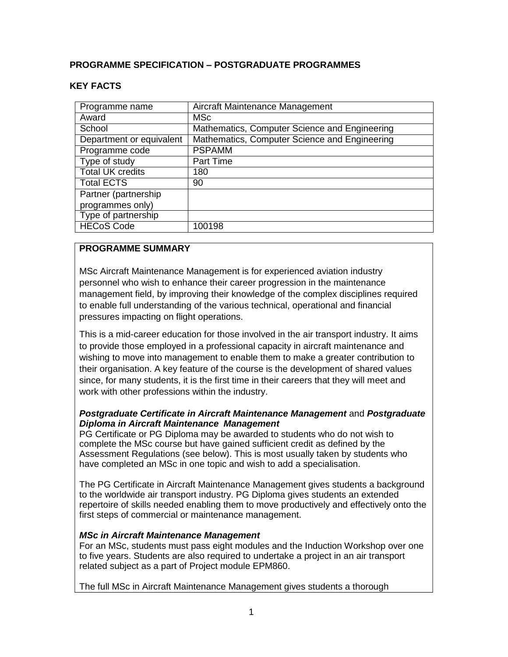### **PROGRAMME SPECIFICATION – POSTGRADUATE PROGRAMMES**

#### **KEY FACTS**

| Programme name           | Aircraft Maintenance Management               |  |  |
|--------------------------|-----------------------------------------------|--|--|
| Award                    | <b>MSc</b>                                    |  |  |
| School                   | Mathematics, Computer Science and Engineering |  |  |
| Department or equivalent | Mathematics, Computer Science and Engineering |  |  |
| Programme code           | <b>PSPAMM</b>                                 |  |  |
| Type of study            | Part Time                                     |  |  |
| <b>Total UK credits</b>  | 180                                           |  |  |
| <b>Total ECTS</b>        | 90                                            |  |  |
| Partner (partnership     |                                               |  |  |
| programmes only)         |                                               |  |  |
| Type of partnership      |                                               |  |  |
| <b>HECoS Code</b>        | 100198                                        |  |  |

#### **PROGRAMME SUMMARY**

MSc Aircraft Maintenance Management is for experienced aviation industry personnel who wish to enhance their career progression in the maintenance management field, by improving their knowledge of the complex disciplines required to enable full understanding of the various technical, operational and financial pressures impacting on flight operations.

This is a mid-career education for those involved in the air transport industry. It aims to provide those employed in a professional capacity in aircraft maintenance and wishing to move into management to enable them to make a greater contribution to their organisation. A key feature of the course is the development of shared values since, for many students, it is the first time in their careers that they will meet and work with other professions within the industry.

#### *Postgraduate Certificate in Aircraft Maintenance Management* and *Postgraduate Diploma in Aircraft Maintenance Management*

PG Certificate or PG Diploma may be awarded to students who do not wish to complete the MSc course but have gained sufficient credit as defined by the Assessment Regulations (see below). This is most usually taken by students who have completed an MSc in one topic and wish to add a specialisation.

The PG Certificate in Aircraft Maintenance Management gives students a background to the worldwide air transport industry. PG Diploma gives students an extended repertoire of skills needed enabling them to move productively and effectively onto the first steps of commercial or maintenance management.

#### *MSc in Aircraft Maintenance Management*

For an MSc, students must pass eight modules and the Induction Workshop over one to five years. Students are also required to undertake a project in an air transport related subject as a part of Project module EPM860.

The full MSc in Aircraft Maintenance Management gives students a thorough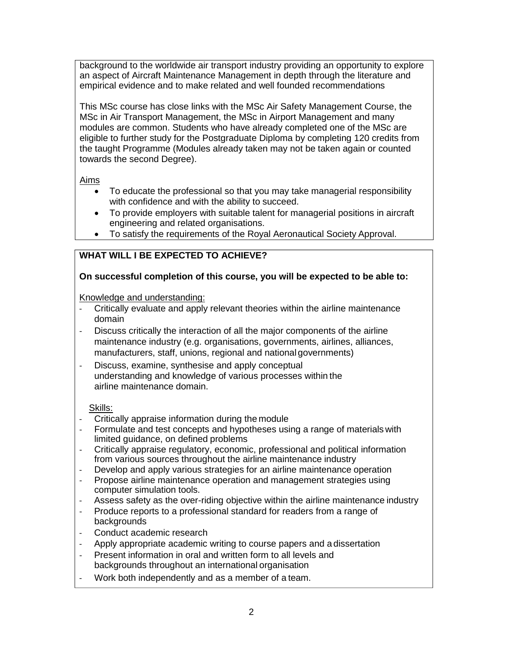background to the worldwide air transport industry providing an opportunity to explore an aspect of Aircraft Maintenance Management in depth through the literature and empirical evidence and to make related and well founded recommendations

This MSc course has close links with the MSc Air Safety Management Course, the MSc in Air Transport Management, the MSc in Airport Management and many modules are common. Students who have already completed one of the MSc are eligible to further study for the Postgraduate Diploma by completing 120 credits from the taught Programme (Modules already taken may not be taken again or counted towards the second Degree).

### Aims

- To educate the professional so that you may take managerial responsibility with confidence and with the ability to succeed.
- To provide employers with suitable talent for managerial positions in aircraft engineering and related organisations.
- To satisfy the requirements of the Royal Aeronautical Society Approval.

# **WHAT WILL I BE EXPECTED TO ACHIEVE?**

### **On successful completion of this course, you will be expected to be able to:**

#### Knowledge and understanding:

- Critically evaluate and apply relevant theories within the airline maintenance domain
- Discuss critically the interaction of all the major components of the airline maintenance industry (e.g. organisations, governments, airlines, alliances, manufacturers, staff, unions, regional and national governments)
- Discuss, examine, synthesise and apply conceptual understanding and knowledge of various processes within the airline maintenance domain.

#### Skills:

- Critically appraise information during the module
- Formulate and test concepts and hypotheses using a range of materials with limited guidance, on defined problems
- Critically appraise regulatory, economic, professional and political information from various sources throughout the airline maintenance industry
- Develop and apply various strategies for an airline maintenance operation
- Propose airline maintenance operation and management strategies using computer simulation tools.
- Assess safety as the over-riding objective within the airline maintenance industry
- Produce reports to a professional standard for readers from a range of **backgrounds**
- Conduct academic research
- Apply appropriate academic writing to course papers and a dissertation
- Present information in oral and written form to all levels and backgrounds throughout an international organisation
- Work both independently and as a member of a team.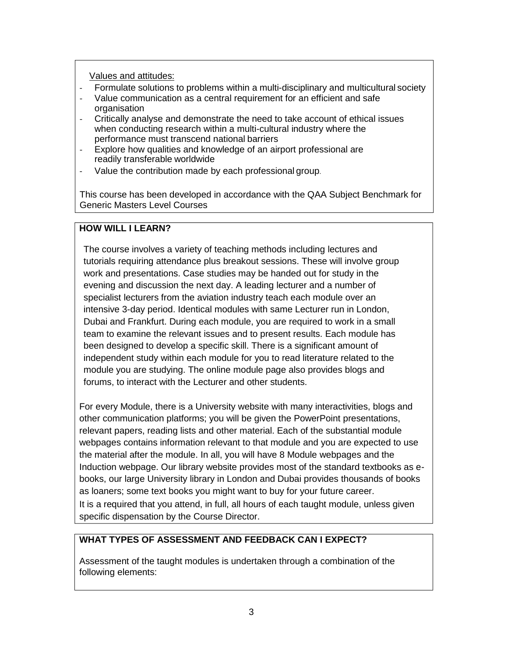Values and attitudes:

- Formulate solutions to problems within a multi-disciplinary and multicultural society
- Value communication as a central requirement for an efficient and safe organisation
- Critically analyse and demonstrate the need to take account of ethical issues when conducting research within a multi-cultural industry where the performance must transcend national barriers
- Explore how qualities and knowledge of an airport professional are readily transferable worldwide
- Value the contribution made by each professional group.

This course has been developed in accordance with the QAA Subject Benchmark for Generic Masters Level Courses

# **HOW WILL I LEARN?**

The course involves a variety of teaching methods including lectures and tutorials requiring attendance plus breakout sessions. These will involve group work and presentations. Case studies may be handed out for study in the evening and discussion the next day. A leading lecturer and a number of specialist lecturers from the aviation industry teach each module over an intensive 3-day period. Identical modules with same Lecturer run in London, Dubai and Frankfurt. During each module, you are required to work in a small team to examine the relevant issues and to present results. Each module has been designed to develop a specific skill. There is a significant amount of independent study within each module for you to read literature related to the module you are studying. The online module page also provides blogs and forums, to interact with the Lecturer and other students.

For every Module, there is a University website with many interactivities, blogs and other communication platforms; you will be given the PowerPoint presentations, relevant papers, reading lists and other material. Each of the substantial module webpages contains information relevant to that module and you are expected to use the material after the module. In all, you will have 8 Module webpages and the Induction webpage. Our library website provides most of the standard textbooks as ebooks, our large University library in London and Dubai provides thousands of books as loaners; some text books you might want to buy for your future career.

It is a required that you attend, in full, all hours of each taught module, unless given specific dispensation by the Course Director.

# **WHAT TYPES OF ASSESSMENT AND FEEDBACK CAN I EXPECT?**

Assessment of the taught modules is undertaken through a combination of the following elements: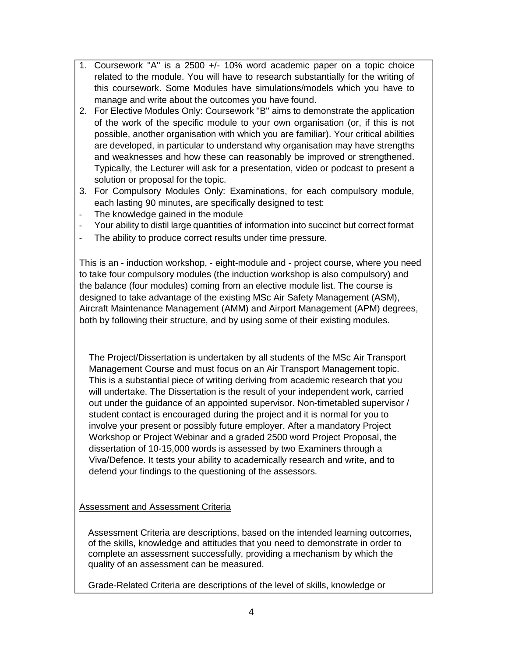- 1. Coursework ''A'' is a 2500 +/- 10% word academic paper on a topic choice related to the module. You will have to research substantially for the writing of this coursework. Some Modules have simulations/models which you have to manage and write about the outcomes you have found.
- 2. For Elective Modules Only: Coursework ''B'' aims to demonstrate the application of the work of the specific module to your own organisation (or, if this is not possible, another organisation with which you are familiar). Your critical abilities are developed, in particular to understand why organisation may have strengths and weaknesses and how these can reasonably be improved or strengthened. Typically, the Lecturer will ask for a presentation, video or podcast to present a solution or proposal for the topic.
- 3. For Compulsory Modules Only: Examinations, for each compulsory module, each lasting 90 minutes, are specifically designed to test:
- The knowledge gained in the module
- Your ability to distil large quantities of information into succinct but correct format
- The ability to produce correct results under time pressure.

This is an - induction workshop, - eight-module and - project course, where you need to take four compulsory modules (the induction workshop is also compulsory) and the balance (four modules) coming from an elective module list. The course is designed to take advantage of the existing MSc Air Safety Management (ASM), Aircraft Maintenance Management (AMM) and Airport Management (APM) degrees, both by following their structure, and by using some of their existing modules.

The Project/Dissertation is undertaken by all students of the MSc Air Transport Management Course and must focus on an Air Transport Management topic. This is a substantial piece of writing deriving from academic research that you will undertake. The Dissertation is the result of your independent work, carried out under the guidance of an appointed supervisor. Non-timetabled supervisor / student contact is encouraged during the project and it is normal for you to involve your present or possibly future employer. After a mandatory Project Workshop or Project Webinar and a graded 2500 word Project Proposal, the dissertation of 10-15,000 words is assessed by two Examiners through a Viva/Defence. It tests your ability to academically research and write, and to defend your findings to the questioning of the assessors.

# Assessment and Assessment Criteria

Assessment Criteria are descriptions, based on the intended learning outcomes, of the skills, knowledge and attitudes that you need to demonstrate in order to complete an assessment successfully, providing a mechanism by which the quality of an assessment can be measured.

Grade-Related Criteria are descriptions of the level of skills, knowledge or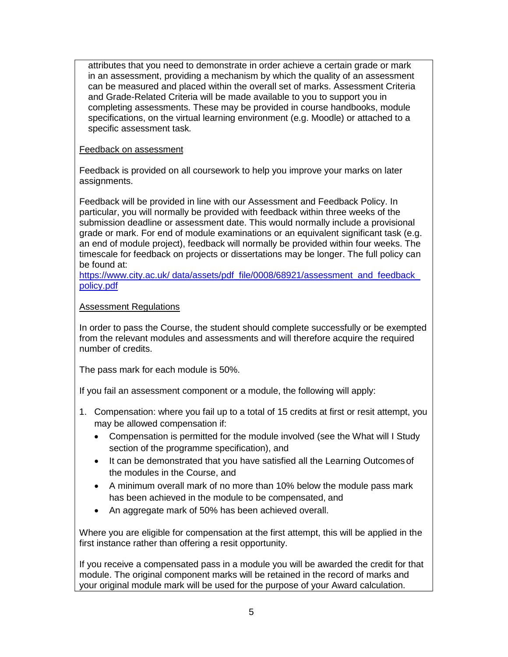attributes that you need to demonstrate in order achieve a certain grade or mark in an assessment, providing a mechanism by which the quality of an assessment can be measured and placed within the overall set of marks. Assessment Criteria and Grade-Related Criteria will be made available to you to support you in completing assessments. These may be provided in course handbooks, module specifications, on the virtual learning environment (e.g. Moodle) or attached to a specific assessment task*.*

#### Feedback on assessment

Feedback is provided on all coursework to help you improve your marks on later assignments.

Feedback will be provided in line with our Assessment and Feedback Policy. In particular, you will normally be provided with feedback within three weeks of the submission deadline or assessment date. This would normally include a provisional grade or mark. For end of module examinations or an equivalent significant task (e.g. an end of module project), feedback will normally be provided within four weeks. The timescale for feedback on projects or dissertations may be longer. The full policy can be found at:

https://www.city.ac.uk/ data/assets/pdf\_file/0008/68921/assessment\_and\_feedback [policy.pdf](https://www.city.ac.uk/__data/assets/pdf_file/0008/68921/assessment_and_feedback_policy.pdf)

### Assessment Regulations

In order to pass the Course, the student should complete successfully or be exempted from the relevant modules and assessments and will therefore acquire the required number of credits.

The pass mark for each module is 50%.

If you fail an assessment component or a module, the following will apply:

- 1. Compensation: where you fail up to a total of 15 credits at first or resit attempt, you may be allowed compensation if:
	- Compensation is permitted for the module involved (see the What will I Study section of the programme specification), and
	- It can be demonstrated that you have satisfied all the Learning Outcomes of the modules in the Course, and
	- A minimum overall mark of no more than 10% below the module pass mark has been achieved in the module to be compensated, and
	- An aggregate mark of 50% has been achieved overall.

Where you are eligible for compensation at the first attempt, this will be applied in the first instance rather than offering a resit opportunity.

If you receive a compensated pass in a module you will be awarded the credit for that module. The original component marks will be retained in the record of marks and your original module mark will be used for the purpose of your Award calculation.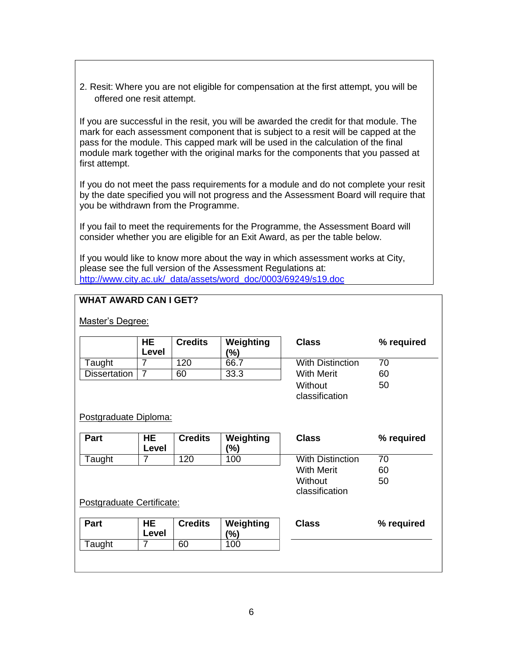2. Resit: Where you are not eligible for compensation at the first attempt, you will be offered one resit attempt.

If you are successful in the resit, you will be awarded the credit for that module. The mark for each assessment component that is subject to a resit will be capped at the pass for the module. This capped mark will be used in the calculation of the final module mark together with the original marks for the components that you passed at first attempt.

If you do not meet the pass requirements for a module and do not complete your resit by the date specified you will not progress and the Assessment Board will require that you be withdrawn from the Programme.

If you fail to meet the requirements for the Programme, the Assessment Board will consider whether you are eligible for an Exit Award, as per the table below.

If you would like to know more about the way in which assessment works at City, please see the full version of the Assessment Regulations at: http://www.city.ac.uk/ [data/assets/word\\_doc/0003/69249/s19.doc](http://www.city.ac.uk/__data/assets/word_doc/0003/69249/s19.doc)

### **WHAT AWARD CAN I GET?**

Master's Degree:

|                           | HE.<br>Level       | <b>Credits</b> | Weighting<br>(%) | <b>Class</b>              | % required |
|---------------------------|--------------------|----------------|------------------|---------------------------|------------|
| Taught                    | 7                  | 120            | 66.7             | <b>With Distinction</b>   | 70         |
| <b>Dissertation</b>       | $\overline{7}$     | 60             | 33.3             | <b>With Merit</b>         | 60         |
|                           |                    |                |                  | Without<br>classification | 50         |
| Postgraduate Diploma:     |                    |                |                  |                           |            |
| Part                      | HE.<br>Level       | <b>Credits</b> | Weighting<br>(%) | <b>Class</b>              | % required |
| Taught                    | 7                  | 120            | 100              | <b>With Distinction</b>   | 70         |
|                           |                    |                |                  | <b>With Merit</b>         | 60         |
|                           |                    |                |                  | Without<br>classification | 50         |
| Postgraduate Certificate: |                    |                |                  |                           |            |
| <b>Part</b>               | <b>HE</b><br>Level | <b>Credits</b> | Weighting<br>(%) | <b>Class</b>              | % required |
| Taught                    | $\overline{7}$     | 60             | 100              |                           |            |
|                           |                    |                |                  |                           |            |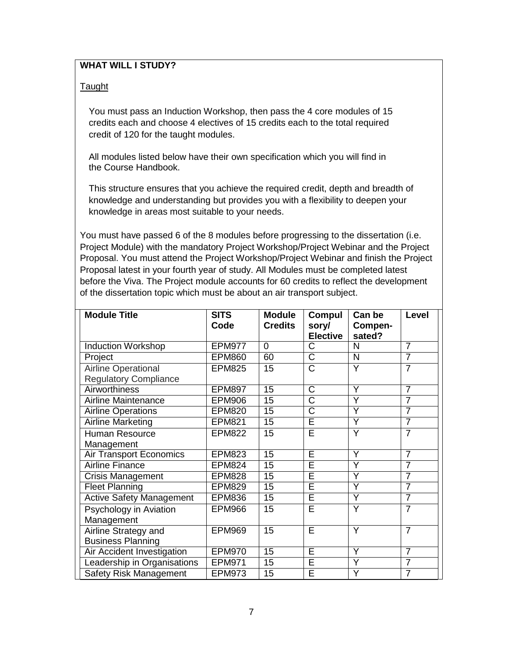# **WHAT WILL I STUDY?**

#### **Taught**

You must pass an Induction Workshop, then pass the 4 core modules of 15 credits each and choose 4 electives of 15 credits each to the total required credit of 120 for the taught modules.

All modules listed below have their own specification which you will find in the Course Handbook.

This structure ensures that you achieve the required credit, depth and breadth of knowledge and understanding but provides you with a flexibility to deepen your knowledge in areas most suitable to your needs.

You must have passed 6 of the 8 modules before progressing to the dissertation (i.e. Project Module) with the mandatory Project Workshop/Project Webinar and the Project Proposal. You must attend the Project Workshop/Project Webinar and finish the Project Proposal latest in your fourth year of study. All Modules must be completed latest before the Viva. The Project module accounts for 60 credits to reflect the development of the dissertation topic which must be about an air transport subject.

| <b>Module Title</b>                                        | <b>SITS</b>   | <b>Module</b>   | Compul                   | Can be                  | Level          |
|------------------------------------------------------------|---------------|-----------------|--------------------------|-------------------------|----------------|
|                                                            | Code          | <b>Credits</b>  | sory/<br><b>Elective</b> | Compen-<br>sated?       |                |
| <b>Induction Workshop</b>                                  | <b>EPM977</b> | $\overline{0}$  | $\overline{\text{C}}$    | N                       | $\overline{7}$ |
| Project                                                    | <b>EPM860</b> | 60              | $\overline{\text{C}}$    | $\overline{\mathsf{N}}$ | $\overline{7}$ |
| <b>Airline Operational</b><br><b>Regulatory Compliance</b> | <b>EPM825</b> | 15              | $\overline{\text{C}}$    | Y                       | $\overline{7}$ |
| <b>Airworthiness</b>                                       | <b>EPM897</b> | 15              | $\overline{\text{C}}$    | Y                       | $\overline{7}$ |
| Airline Maintenance                                        | <b>EPM906</b> | 15              | $\overline{\text{C}}$    | Ÿ                       | $\overline{7}$ |
| <b>Airline Operations</b>                                  | <b>EPM820</b> | 15              | $\overline{\text{C}}$    | Ÿ                       | $\overline{7}$ |
| <b>Airline Marketing</b>                                   | <b>EPM821</b> | 15              | Ē                        | Y                       | $\overline{7}$ |
| <b>Human Resource</b>                                      | <b>EPM822</b> | 15              | E                        | Y                       | $\overline{7}$ |
| Management                                                 |               |                 |                          |                         |                |
| <b>Air Transport Economics</b>                             | <b>EPM823</b> | $\overline{15}$ | Ē                        | Y                       | $\overline{7}$ |
| <b>Airline Finance</b>                                     | <b>EPM824</b> | $\overline{15}$ | Ē                        | Ÿ                       | $\overline{7}$ |
| Crisis Management                                          | <b>EPM828</b> | $\overline{15}$ | Ē                        | Ÿ                       | $\overline{7}$ |
| <b>Fleet Planning</b>                                      | <b>EPM829</b> | 15              | Ē                        | Ÿ                       | $\overline{7}$ |
| <b>Active Safety Management</b>                            | <b>EPM836</b> | $\overline{15}$ | Ē                        | Ÿ                       | $\overline{7}$ |
| Psychology in Aviation<br>Management                       | <b>EPM966</b> | 15              | $\overline{\sf E}$       | Y                       | $\overline{7}$ |
| Airline Strategy and<br><b>Business Planning</b>           | <b>EPM969</b> | 15              | E                        | Y                       | $\overline{7}$ |
| Air Accident Investigation                                 | <b>EPM970</b> | $\overline{15}$ | Ē                        | $\overline{\mathsf{Y}}$ | $\overline{7}$ |
| Leadership in Organisations                                | <b>EPM971</b> | $\overline{15}$ | Ē                        | Ÿ                       | $\overline{7}$ |
| <b>Safety Risk Management</b>                              | EPM973        | $\overline{15}$ | Ē                        | Ÿ                       | $\overline{7}$ |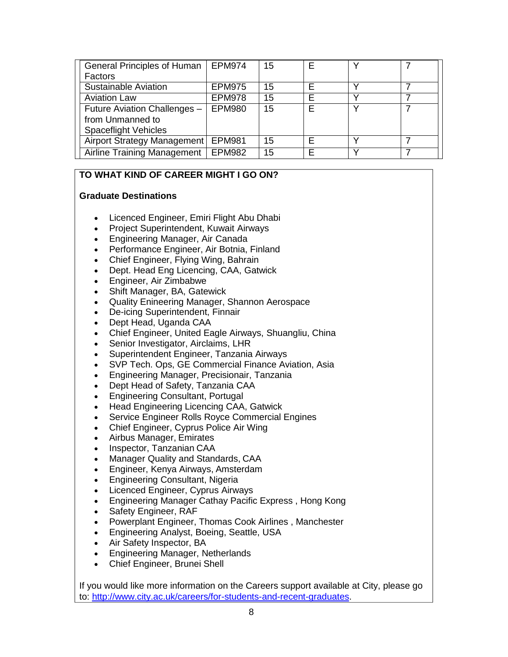| <b>General Principles of Human</b> | <b>EPM974</b> | 15 |   |  |
|------------------------------------|---------------|----|---|--|
| Factors                            |               |    |   |  |
| Sustainable Aviation               | <b>EPM975</b> | 15 |   |  |
| <b>Aviation Law</b>                | <b>EPM978</b> | 15 | F |  |
| Future Aviation Challenges -       | <b>EPM980</b> | 15 | F |  |
| from Unmanned to                   |               |    |   |  |
| <b>Spaceflight Vehicles</b>        |               |    |   |  |
| Airport Strategy Management        | <b>EPM981</b> | 15 |   |  |
| <b>Airline Training Management</b> | <b>EPM982</b> | 15 |   |  |

# **TO WHAT KIND OF CAREER MIGHT I GO ON?**

#### **Graduate Destinations**

- Licenced Engineer, Emiri Flight Abu Dhabi
- Project Superintendent, Kuwait Airways
- Engineering Manager, Air Canada
- Performance Engineer, Air Botnia, Finland
- Chief Engineer, Flying Wing, Bahrain
- Dept. Head Eng Licencing, CAA, Gatwick
- Engineer, Air Zimbabwe
- Shift Manager, BA, Gatewick
- Quality Enineering Manager, Shannon Aerospace
- De-icing Superintendent, Finnair
- Dept Head, Uganda CAA
- Chief Engineer, United Eagle Airways, Shuangliu, China
- Senior Investigator, Airclaims, LHR
- Superintendent Engineer, Tanzania Airways
- SVP Tech. Ops, GE Commercial Finance Aviation, Asia
- Engineering Manager, Precisionair, Tanzania
- Dept Head of Safety, Tanzania CAA
- Engineering Consultant, Portugal
- Head Engineering Licencing CAA, Gatwick
- Service Engineer Rolls Royce Commercial Engines
- Chief Engineer, Cyprus Police Air Wing
- Airbus Manager, Emirates
- Inspector, Tanzanian CAA
- Manager Quality and Standards, CAA
- Engineer, Kenya Airways, Amsterdam
- Engineering Consultant, Nigeria
- Licenced Engineer, Cyprus Airways
- Engineering Manager Cathay Pacific Express , Hong Kong
- Safety Engineer, RAF
- Powerplant Engineer, Thomas Cook Airlines , Manchester
- Engineering Analyst, Boeing, Seattle, USA
- Air Safety Inspector, BA
- Engineering Manager, Netherlands
- Chief Engineer, Brunei Shell

If you would like more information on the Careers support available at City, please go to: [http://www.city.ac.uk/careers/for-students-and-recent-graduates.](http://www.city.ac.uk/careers/for-students-and-recent-graduates)